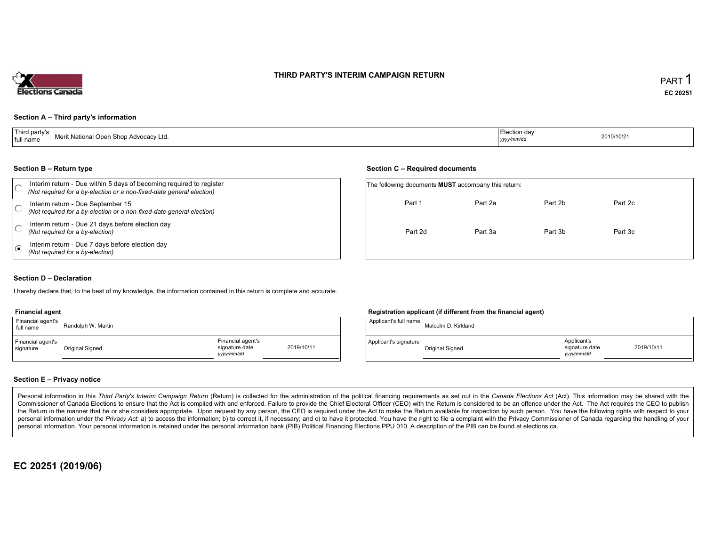# THIRD PARTY'S INTERIM CAMPAIGN RETURN



## Section <sup>A</sup> – Third party's information

| Third party's<br>full name | Merit National Open Shop Advocacy Ltd.<br>the contract of the contract of | Election da<br>yyyy/mm/dd | 2010/10/21 |
|----------------------------|---------------------------------------------------------------------------|---------------------------|------------|
|                            |                                                                           |                           |            |

#### Section <sup>B</sup> – Return type

|    | Section B – Return type                                                                                                                      |                                                            | Section C – Required documents |         |         |         |  |
|----|----------------------------------------------------------------------------------------------------------------------------------------------|------------------------------------------------------------|--------------------------------|---------|---------|---------|--|
|    | Interim return - Due within 5 days of becoming required to register<br>(Not required for a by-election or a non-fixed-date general election) | The following documents <b>MUST</b> accompany this return: |                                |         |         |         |  |
|    | Interim return - Due September 15<br>(Not required for a by-election or a non-fixed-date general election)                                   |                                                            | Part 1                         | Part 2a | Part 2b | Part 2c |  |
|    | Interim return - Due 21 days before election day<br>(Not required for a by-election)                                                         |                                                            | Part 2d                        | Part 3a | Part 3b | Part 3c |  |
| ه، | Interim return - Due 7 days before election day<br>(Not required for a by-election)                                                          |                                                            |                                |         |         |         |  |

### Section <sup>D</sup> – Declaration

hereby declare that, to the best of my knowledge, the information contained in this return is complete and accurate.

#### Financial agent

| Financial agent's<br>full name | Randolph W. Martin |                                                                | <sup>1</sup> Applicant's full name | Malcolm  |
|--------------------------------|--------------------|----------------------------------------------------------------|------------------------------------|----------|
| Financial agent's<br>signature | Original Signed    | Financial agent's<br>2019/10/11<br>signature date<br>vyy/mm/dd | Applicant's signature              | Original |

## Registration applicant (if different from the financial agent)

| Martin |                                                   |            | Applicant's full name | Malcolm D. Kirkland |                                             |            |
|--------|---------------------------------------------------|------------|-----------------------|---------------------|---------------------------------------------|------------|
|        | Financial agent's<br>signature date<br>yyyy/mm/dd | 2019/10/11 | Applicant's signature | Original Signed     | Applicant's<br>signature date<br>yyyy/mm/dd | 2019/10/11 |

#### Section <sup>E</sup> – Privacy notice

Personal information in this Third Party's Interim Campaign Return (Return) is collected for the administration of the political financing requirements as set out in the Canada Elections Act (Act). This information may be Commissioner of Canada Elections to ensure that the Act is complied with and enforced. Failure to provide the Chief Electoral Officer (CEO) with the Return is considered to be an offence under the Act. The Act requires the the Return in the manner that he or she considers appropriate. Upon request by any person, the CEO is required under the Act to make the Return available for inspection by such person. You have the capacity with respect to personal information under the Privacy Act. a) to access the information, b) to correct it, if necessary; and c) to have it protected. You have the right to file a complaint with the Privacy Commissioner of Canada regardin personal information. Your personal information is retained under the personal information bank (PIB) Political Financing Elections PPU 010. <sup>A</sup> description of the PIB can be found at elections.ca.

# EC <sup>20251</sup> (2019/06)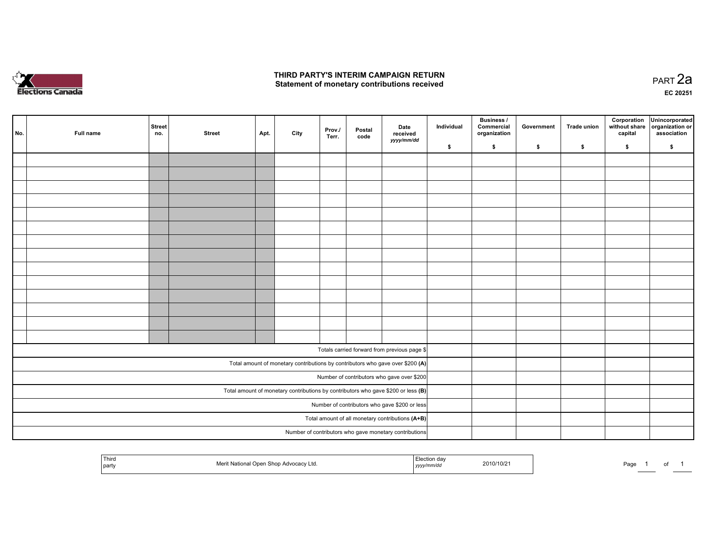

#### THIRD PARTY'S INTERIM CAMPAIGN RETURN Statement of monetary contributions received

|                                            | No.                                                                               | Full name | Street<br>no.                                 | <b>Street</b>                                    | Apt. | City | Prov./<br>Terr. | Postal<br>code | Date<br>received<br>yyyy/mm/dd                                                 | Individual | <b>Business /</b><br>Commercial<br>organization | Government | <b>Trade union</b> | Corporation<br>without share<br>capital | Unincorporated<br>organization or<br>association |
|--------------------------------------------|-----------------------------------------------------------------------------------|-----------|-----------------------------------------------|--------------------------------------------------|------|------|-----------------|----------------|--------------------------------------------------------------------------------|------------|-------------------------------------------------|------------|--------------------|-----------------------------------------|--------------------------------------------------|
|                                            |                                                                                   |           |                                               |                                                  |      |      |                 |                |                                                                                | \$         | \$                                              | $\bullet$  | \$                 | \$                                      | \$                                               |
|                                            |                                                                                   |           |                                               |                                                  |      |      |                 |                |                                                                                |            |                                                 |            |                    |                                         |                                                  |
|                                            |                                                                                   |           |                                               |                                                  |      |      |                 |                |                                                                                |            |                                                 |            |                    |                                         |                                                  |
|                                            |                                                                                   |           |                                               |                                                  |      |      |                 |                |                                                                                |            |                                                 |            |                    |                                         |                                                  |
|                                            |                                                                                   |           |                                               |                                                  |      |      |                 |                |                                                                                |            |                                                 |            |                    |                                         |                                                  |
|                                            |                                                                                   |           |                                               |                                                  |      |      |                 |                |                                                                                |            |                                                 |            |                    |                                         |                                                  |
|                                            |                                                                                   |           |                                               |                                                  |      |      |                 |                |                                                                                |            |                                                 |            |                    |                                         |                                                  |
|                                            |                                                                                   |           |                                               |                                                  |      |      |                 |                |                                                                                |            |                                                 |            |                    |                                         |                                                  |
|                                            |                                                                                   |           |                                               |                                                  |      |      |                 |                |                                                                                |            |                                                 |            |                    |                                         |                                                  |
|                                            |                                                                                   |           |                                               |                                                  |      |      |                 |                |                                                                                |            |                                                 |            |                    |                                         |                                                  |
|                                            |                                                                                   |           |                                               |                                                  |      |      |                 |                |                                                                                |            |                                                 |            |                    |                                         |                                                  |
|                                            |                                                                                   |           |                                               |                                                  |      |      |                 |                |                                                                                |            |                                                 |            |                    |                                         |                                                  |
|                                            |                                                                                   |           |                                               |                                                  |      |      |                 |                |                                                                                |            |                                                 |            |                    |                                         |                                                  |
|                                            |                                                                                   |           |                                               |                                                  |      |      |                 |                |                                                                                |            |                                                 |            |                    |                                         |                                                  |
|                                            |                                                                                   |           |                                               |                                                  |      |      |                 |                |                                                                                |            |                                                 |            |                    |                                         |                                                  |
|                                            |                                                                                   |           |                                               |                                                  |      |      |                 |                | Totals carried forward from previous page \$                                   |            |                                                 |            |                    |                                         |                                                  |
|                                            |                                                                                   |           |                                               |                                                  |      |      |                 |                | Total amount of monetary contributions by contributors who gave over \$200 (A) |            |                                                 |            |                    |                                         |                                                  |
| Number of contributors who gave over \$200 |                                                                                   |           |                                               |                                                  |      |      |                 |                |                                                                                |            |                                                 |            |                    |                                         |                                                  |
|                                            | Total amount of monetary contributions by contributors who gave \$200 or less (B) |           |                                               |                                                  |      |      |                 |                |                                                                                |            |                                                 |            |                    |                                         |                                                  |
|                                            |                                                                                   |           | Number of contributors who gave \$200 or less |                                                  |      |      |                 |                |                                                                                |            |                                                 |            |                    |                                         |                                                  |
|                                            |                                                                                   |           |                                               | Total amount of all monetary contributions (A+B) |      |      |                 |                |                                                                                |            |                                                 |            |                    |                                         |                                                  |
|                                            |                                                                                   |           |                                               |                                                  |      |      |                 |                | Number of contributors who gave monetary contributions                         |            |                                                 |            |                    |                                         |                                                  |
|                                            |                                                                                   |           |                                               |                                                  |      |      |                 |                |                                                                                |            |                                                 |            |                    |                                         |                                                  |

| Third<br>  party | ` National Open_<br>n Shop Advocacy Ltd. | 2010/10/21<br>$\sim$ $\sim$<br>yyyy/mm/aa | Page<br>-99 |  |
|------------------|------------------------------------------|-------------------------------------------|-------------|--|
|                  |                                          |                                           |             |  |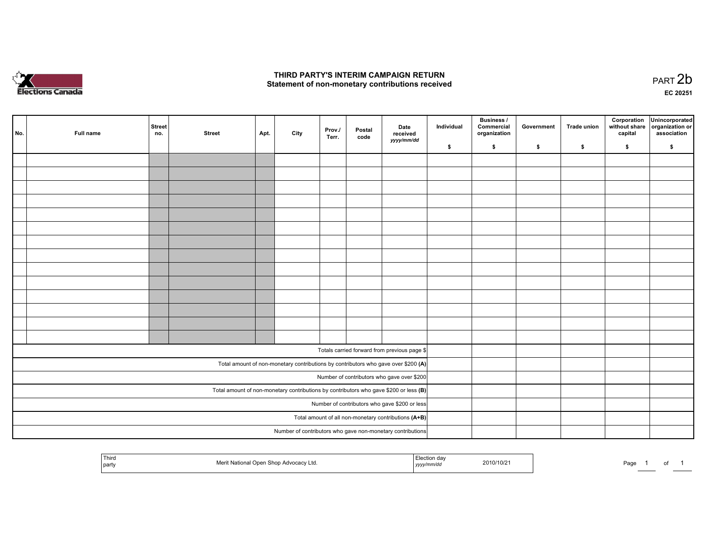

#### THIRD PARTY'S INTERIM CAMPAIGN RETURN Statement of non-monetary contributions received

 PART 2bEC <sup>20251</sup>

| No.                                                                                     | Full name | <b>Street</b><br>no. | <b>Street</b> | Apt. | City | Prov./<br>Terr. | Postal<br>code | Date<br>received<br>yyyy/mm/dd                                                     | Individual | <b>Business /</b><br>Commercial<br>organization | Government | <b>Trade union</b> | Corporation<br>capital | Unincorporated<br>without share organization or<br>association |
|-----------------------------------------------------------------------------------------|-----------|----------------------|---------------|------|------|-----------------|----------------|------------------------------------------------------------------------------------|------------|-------------------------------------------------|------------|--------------------|------------------------|----------------------------------------------------------------|
|                                                                                         |           |                      |               |      |      |                 |                |                                                                                    | \$         | \$                                              | \$         | \$                 | \$                     | \$                                                             |
|                                                                                         |           |                      |               |      |      |                 |                |                                                                                    |            |                                                 |            |                    |                        |                                                                |
|                                                                                         |           |                      |               |      |      |                 |                |                                                                                    |            |                                                 |            |                    |                        |                                                                |
|                                                                                         |           |                      |               |      |      |                 |                |                                                                                    |            |                                                 |            |                    |                        |                                                                |
|                                                                                         |           |                      |               |      |      |                 |                |                                                                                    |            |                                                 |            |                    |                        |                                                                |
|                                                                                         |           |                      |               |      |      |                 |                |                                                                                    |            |                                                 |            |                    |                        |                                                                |
|                                                                                         |           |                      |               |      |      |                 |                |                                                                                    |            |                                                 |            |                    |                        |                                                                |
|                                                                                         |           |                      |               |      |      |                 |                |                                                                                    |            |                                                 |            |                    |                        |                                                                |
|                                                                                         |           |                      |               |      |      |                 |                |                                                                                    |            |                                                 |            |                    |                        |                                                                |
|                                                                                         |           |                      |               |      |      |                 |                |                                                                                    |            |                                                 |            |                    |                        |                                                                |
|                                                                                         |           |                      |               |      |      |                 |                |                                                                                    |            |                                                 |            |                    |                        |                                                                |
|                                                                                         |           |                      |               |      |      |                 |                |                                                                                    |            |                                                 |            |                    |                        |                                                                |
|                                                                                         |           |                      |               |      |      |                 |                |                                                                                    |            |                                                 |            |                    |                        |                                                                |
|                                                                                         |           |                      |               |      |      |                 |                |                                                                                    |            |                                                 |            |                    |                        |                                                                |
|                                                                                         |           |                      |               |      |      |                 |                |                                                                                    |            |                                                 |            |                    |                        |                                                                |
|                                                                                         |           |                      |               |      |      |                 |                | Totals carried forward from previous page \$                                       |            |                                                 |            |                    |                        |                                                                |
|                                                                                         |           |                      |               |      |      |                 |                | Total amount of non-monetary contributions by contributors who gave over \$200 (A) |            |                                                 |            |                    |                        |                                                                |
| Number of contributors who gave over \$200                                              |           |                      |               |      |      |                 |                |                                                                                    |            |                                                 |            |                    |                        |                                                                |
| Total amount of non-monetary contributions by contributors who gave \$200 or less $(B)$ |           |                      |               |      |      |                 |                |                                                                                    |            |                                                 |            |                    |                        |                                                                |
| Number of contributors who gave \$200 or less                                           |           |                      |               |      |      |                 |                |                                                                                    |            |                                                 |            |                    |                        |                                                                |
|                                                                                         |           |                      |               |      |      |                 |                | Total amount of all non-monetary contributions (A+B)                               |            |                                                 |            |                    |                        |                                                                |
|                                                                                         |           |                      |               |      |      |                 |                | Number of contributors who gave non-monetary contributions                         |            |                                                 |            |                    |                        |                                                                |

| ' Third<br>party | Merit<br>' Nationa<br>l Open Shop Advocacy Ltd. | <sub>≁</sub> uon dav<br>nm/a<br>,,,,, | 2010/10/2 | Page |  |  |
|------------------|-------------------------------------------------|---------------------------------------|-----------|------|--|--|
|                  |                                                 |                                       |           |      |  |  |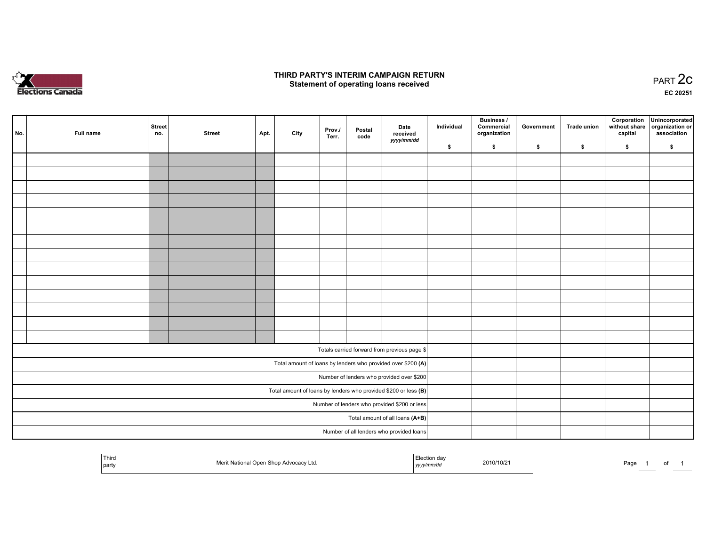

#### THIRD PARTY'S INTERIM CAMPAIGN RETURN  $\frac{1}{2}$  of PART  $\frac{2}{3}$  PART  $\frac{2}{3}$

EC <sup>20251</sup>

|  | No.                                                               | Full name | Street<br>no. | <b>Street</b> | Apt. | City | Prov./<br>Terr. | Postal<br>code | Date<br>received<br>yyyy/mm/dd                               | Individual | <b>Business /</b><br>Commercial<br>organization | Government | <b>Trade union</b> | Corporation<br>capital | Unincorporated<br>without share organization or<br>association |
|--|-------------------------------------------------------------------|-----------|---------------|---------------|------|------|-----------------|----------------|--------------------------------------------------------------|------------|-------------------------------------------------|------------|--------------------|------------------------|----------------------------------------------------------------|
|  |                                                                   |           |               |               |      |      |                 |                |                                                              | \$         | \$                                              | \$         | \$                 | \$                     | \$                                                             |
|  |                                                                   |           |               |               |      |      |                 |                |                                                              |            |                                                 |            |                    |                        |                                                                |
|  |                                                                   |           |               |               |      |      |                 |                |                                                              |            |                                                 |            |                    |                        |                                                                |
|  |                                                                   |           |               |               |      |      |                 |                |                                                              |            |                                                 |            |                    |                        |                                                                |
|  |                                                                   |           |               |               |      |      |                 |                |                                                              |            |                                                 |            |                    |                        |                                                                |
|  |                                                                   |           |               |               |      |      |                 |                |                                                              |            |                                                 |            |                    |                        |                                                                |
|  |                                                                   |           |               |               |      |      |                 |                |                                                              |            |                                                 |            |                    |                        |                                                                |
|  |                                                                   |           |               |               |      |      |                 |                |                                                              |            |                                                 |            |                    |                        |                                                                |
|  |                                                                   |           |               |               |      |      |                 |                |                                                              |            |                                                 |            |                    |                        |                                                                |
|  |                                                                   |           |               |               |      |      |                 |                |                                                              |            |                                                 |            |                    |                        |                                                                |
|  |                                                                   |           |               |               |      |      |                 |                |                                                              |            |                                                 |            |                    |                        |                                                                |
|  |                                                                   |           |               |               |      |      |                 |                |                                                              |            |                                                 |            |                    |                        |                                                                |
|  |                                                                   |           |               |               |      |      |                 |                |                                                              |            |                                                 |            |                    |                        |                                                                |
|  |                                                                   |           |               |               |      |      |                 |                |                                                              |            |                                                 |            |                    |                        |                                                                |
|  |                                                                   |           |               |               |      |      |                 |                |                                                              |            |                                                 |            |                    |                        |                                                                |
|  |                                                                   |           |               |               |      |      |                 |                | Totals carried forward from previous page \$                 |            |                                                 |            |                    |                        |                                                                |
|  |                                                                   |           |               |               |      |      |                 |                | Total amount of loans by lenders who provided over \$200 (A) |            |                                                 |            |                    |                        |                                                                |
|  |                                                                   |           |               |               |      |      |                 |                | Number of lenders who provided over \$200                    |            |                                                 |            |                    |                        |                                                                |
|  | Total amount of loans by lenders who provided \$200 or less $(B)$ |           |               |               |      |      |                 |                |                                                              |            |                                                 |            |                    |                        |                                                                |
|  | Number of lenders who provided \$200 or less                      |           |               |               |      |      |                 |                |                                                              |            |                                                 |            |                    |                        |                                                                |
|  |                                                                   |           |               |               |      |      |                 |                | Total amount of all loans (A+B)                              |            |                                                 |            |                    |                        |                                                                |
|  |                                                                   |           |               |               |      |      |                 |                | Number of all lenders who provided loans                     |            |                                                 |            |                    |                        |                                                                |
|  |                                                                   |           |               |               |      |      |                 |                |                                                              |            |                                                 |            |                    |                        |                                                                |

| ' Third |                                        | Election dav |            |      |  |
|---------|----------------------------------------|--------------|------------|------|--|
|         | Merit National Open Shop Advocacy Ltd. | yyyy/mm/dd   | 2010/10/21 | Page |  |
| party   |                                        |              |            | o    |  |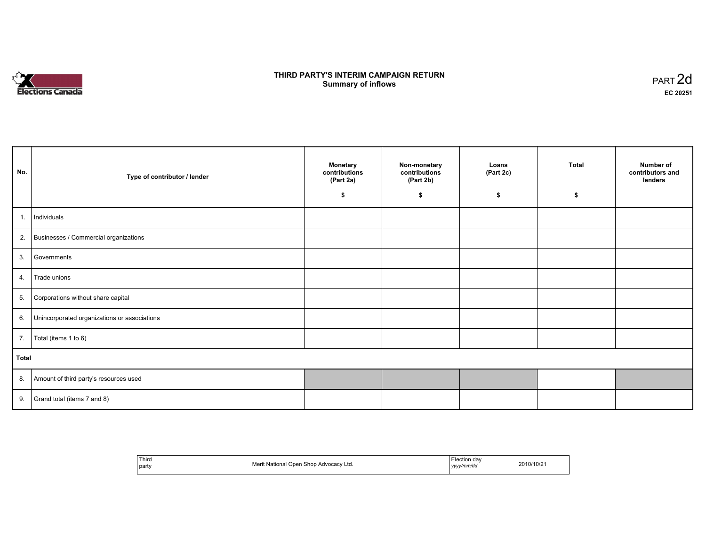# **Elections Canada**

#### THIRD PARTY'S INTERIM CAMPAIGN RETURN<br>Cummery of inflows **Summary of inflows**  $\frac{1}{2}$  of inflows  $\frac{1}{2}$  part 2d

| No.   | Type of contributor / lender                    | <b>Monetary</b><br>contributions<br>(Part 2a)<br>\$ | Non-monetary<br>contributions<br>(Part 2b)<br>\$ | Loans<br>(Part 2c)<br>\$ | <b>Total</b><br>S | Number of<br>contributors and<br>lenders |
|-------|-------------------------------------------------|-----------------------------------------------------|--------------------------------------------------|--------------------------|-------------------|------------------------------------------|
| 1.    | Individuals                                     |                                                     |                                                  |                          |                   |                                          |
|       | 2. Businesses / Commercial organizations        |                                                     |                                                  |                          |                   |                                          |
|       | 3. Governments                                  |                                                     |                                                  |                          |                   |                                          |
| 4.    | Trade unions                                    |                                                     |                                                  |                          |                   |                                          |
| 5.    | Corporations without share capital              |                                                     |                                                  |                          |                   |                                          |
|       | 6. Unincorporated organizations or associations |                                                     |                                                  |                          |                   |                                          |
| 7.    | Total (items 1 to 6)                            |                                                     |                                                  |                          |                   |                                          |
| Total |                                                 |                                                     |                                                  |                          |                   |                                          |
|       | 8. Amount of third party's resources used       |                                                     |                                                  |                          |                   |                                          |
|       | 9. Grand total (items $7$ and $8$ )             |                                                     |                                                  |                          |                   |                                          |

| <sup>1</sup> Third<br>l partv | t National Open Shop Advocacy Ltd. | ⊟lection dav<br>2010/10/21<br>vvvv/mm/dd<br>,,,, |  |
|-------------------------------|------------------------------------|--------------------------------------------------|--|
|-------------------------------|------------------------------------|--------------------------------------------------|--|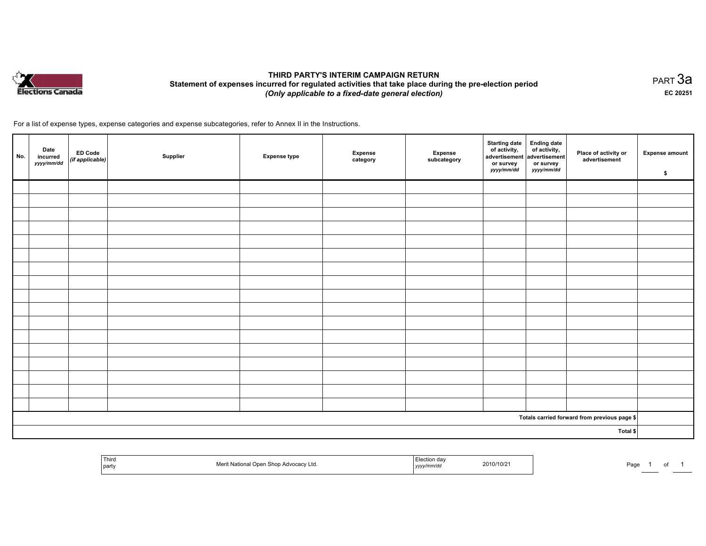

#### THIRD PARTY'S INTERIM CAMPAIGN RETURN Statement of expenses incurred for regulated activities that take place during the pre-election period (Only applicable to <sup>a</sup> fixed-date general election)

равт $\,3$ а EC <sup>20251</sup>

For <sup>a</sup> list of expense types, expense categories and expense subcategories, refer to Annex II in the Instructions.

| No. | Date<br><b>ED Code</b><br>incurred<br>(if applicable)<br>yyyy/mm/dd | Supplier | <b>Expense type</b> | Expense<br>category | Expense<br>subcategory | Starting date<br>of activity,<br>advertisement advertisement<br>or survey<br>yyyy/mm/dd | Ending date<br>of activity,<br>or survey<br>yyyy/mm/dd | Place of activity or<br>advertisement                   | <b>Expense amount</b><br>\$ |
|-----|---------------------------------------------------------------------|----------|---------------------|---------------------|------------------------|-----------------------------------------------------------------------------------------|--------------------------------------------------------|---------------------------------------------------------|-----------------------------|
|     |                                                                     |          |                     |                     |                        |                                                                                         |                                                        |                                                         |                             |
|     |                                                                     |          |                     |                     |                        |                                                                                         |                                                        |                                                         |                             |
|     |                                                                     |          |                     |                     |                        |                                                                                         |                                                        |                                                         |                             |
|     |                                                                     |          |                     |                     |                        |                                                                                         |                                                        |                                                         |                             |
|     |                                                                     |          |                     |                     |                        |                                                                                         |                                                        |                                                         |                             |
|     |                                                                     |          |                     |                     |                        |                                                                                         |                                                        |                                                         |                             |
|     |                                                                     |          |                     |                     |                        |                                                                                         |                                                        |                                                         |                             |
|     |                                                                     |          |                     |                     |                        |                                                                                         |                                                        |                                                         |                             |
|     |                                                                     |          |                     |                     |                        |                                                                                         |                                                        |                                                         |                             |
|     |                                                                     |          |                     |                     |                        |                                                                                         |                                                        |                                                         |                             |
|     |                                                                     |          |                     |                     |                        |                                                                                         |                                                        |                                                         |                             |
|     |                                                                     |          |                     |                     |                        |                                                                                         |                                                        |                                                         |                             |
|     |                                                                     |          |                     |                     |                        |                                                                                         |                                                        |                                                         |                             |
|     |                                                                     |          |                     |                     |                        |                                                                                         |                                                        |                                                         |                             |
|     |                                                                     |          |                     |                     |                        |                                                                                         |                                                        |                                                         |                             |
|     |                                                                     |          |                     |                     |                        |                                                                                         |                                                        |                                                         |                             |
|     |                                                                     |          |                     |                     |                        |                                                                                         |                                                        |                                                         |                             |
|     |                                                                     |          |                     |                     |                        |                                                                                         |                                                        | Totals carried forward from previous page $\frac{1}{2}$ |                             |
|     |                                                                     |          |                     |                     |                        |                                                                                         |                                                        | Total \$                                                |                             |

| <sup>'</sup> Thira<br>t National Open Shop Advocacy Ltd.<br>I party | ∟lection da<br>2010/10/2<br>.<br>נעצען | Page |
|---------------------------------------------------------------------|----------------------------------------|------|
|---------------------------------------------------------------------|----------------------------------------|------|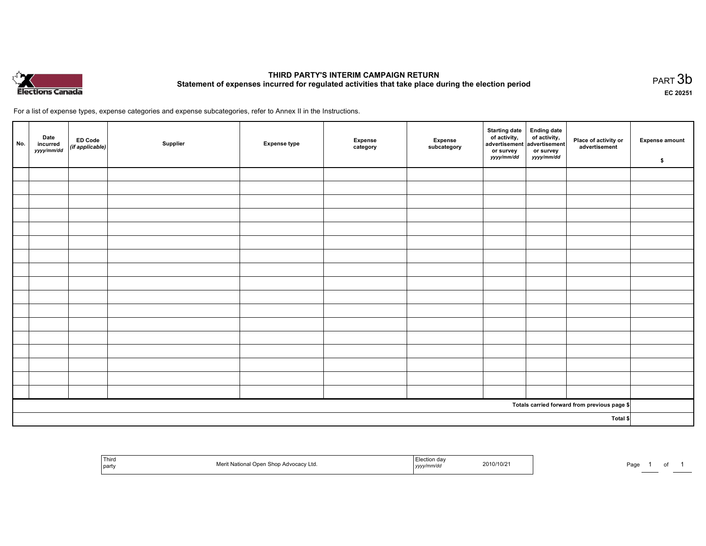

#### THIRD PARTY'S INTERIM CAMPAIGN RETURN THIRD PARTT'S INTERIM CAMPAIGN RETURN<br>Statement of expenses incurred for regulated activities that take place during the election period PART 3b

EC <sup>20251</sup>

For <sup>a</sup> list of expense types, expense categories and expense subcategories, refer to Annex II in the Instructions.

| No.      | Date<br>incurred<br>yyyy/mm/dd | <b>ED Code</b><br>(if applicable) | Supplier | <b>Expense type</b> | Expense<br>category | Expense<br>subcategory | Starting date Ending date<br>of activity, of activity,<br>advertisement advertisement<br>or survey<br>yyyy/mm/dd | or survey<br><i>yyyy/mm/dd</i> | Place of activity or<br>advertisement        | <b>Expense amount</b><br>\$ |
|----------|--------------------------------|-----------------------------------|----------|---------------------|---------------------|------------------------|------------------------------------------------------------------------------------------------------------------|--------------------------------|----------------------------------------------|-----------------------------|
|          |                                |                                   |          |                     |                     |                        |                                                                                                                  |                                |                                              |                             |
|          |                                |                                   |          |                     |                     |                        |                                                                                                                  |                                |                                              |                             |
|          |                                |                                   |          |                     |                     |                        |                                                                                                                  |                                |                                              |                             |
|          |                                |                                   |          |                     |                     |                        |                                                                                                                  |                                |                                              |                             |
|          |                                |                                   |          |                     |                     |                        |                                                                                                                  |                                |                                              |                             |
|          |                                |                                   |          |                     |                     |                        |                                                                                                                  |                                |                                              |                             |
|          |                                |                                   |          |                     |                     |                        |                                                                                                                  |                                |                                              |                             |
|          |                                |                                   |          |                     |                     |                        |                                                                                                                  |                                |                                              |                             |
|          |                                |                                   |          |                     |                     |                        |                                                                                                                  |                                |                                              |                             |
|          |                                |                                   |          |                     |                     |                        |                                                                                                                  |                                |                                              |                             |
|          |                                |                                   |          |                     |                     |                        |                                                                                                                  |                                |                                              |                             |
|          |                                |                                   |          |                     |                     |                        |                                                                                                                  |                                |                                              |                             |
|          |                                |                                   |          |                     |                     |                        |                                                                                                                  |                                |                                              |                             |
|          |                                |                                   |          |                     |                     |                        |                                                                                                                  |                                |                                              |                             |
|          |                                |                                   |          |                     |                     |                        |                                                                                                                  |                                |                                              |                             |
|          |                                |                                   |          |                     |                     |                        |                                                                                                                  |                                |                                              |                             |
|          |                                |                                   |          |                     |                     |                        |                                                                                                                  |                                |                                              |                             |
|          |                                |                                   |          |                     |                     |                        |                                                                                                                  |                                | Totals carried forward from previous page \$ |                             |
| Total \$ |                                |                                   |          |                     |                     |                        |                                                                                                                  |                                |                                              |                             |

| <sup>l</sup> Third<br>part | 0.00<br><b>Shor</b><br>Meri<br>o Advocacv Ltd.<br>ational<br>$\cdots$ | Election da<br>2010/10/2<br>,,,,,,,,,<br>, , , , , | Page<br>of |
|----------------------------|-----------------------------------------------------------------------|----------------------------------------------------|------------|
|----------------------------|-----------------------------------------------------------------------|----------------------------------------------------|------------|